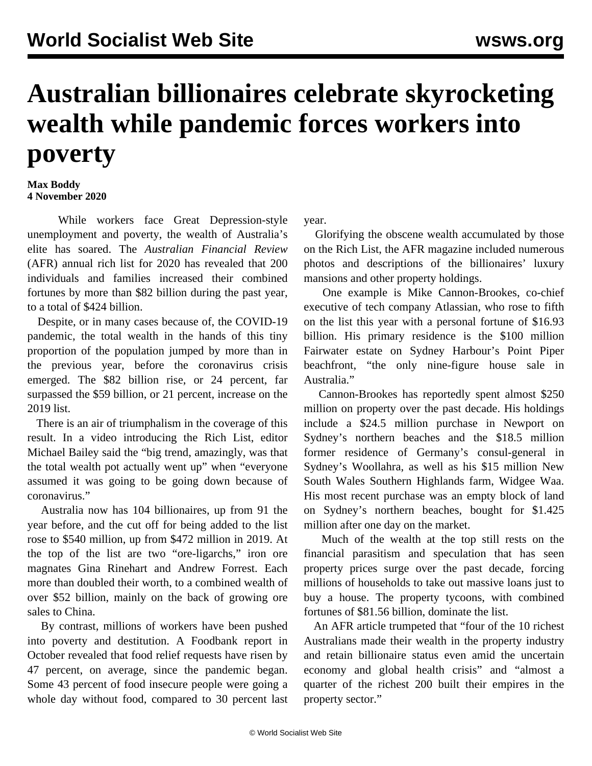## **Australian billionaires celebrate skyrocketing wealth while pandemic forces workers into poverty**

## **Max Boddy 4 November 2020**

 While workers face Great Depression-style unemployment and poverty, the wealth of Australia's elite has soared. The *Australian Financial Review* (AFR) annual rich list for 2020 has revealed that 200 individuals and families increased their combined fortunes by more than \$82 billion during the past year, to a total of \$424 billion.

 Despite, or in many cases because of, the COVID-19 pandemic, the total wealth in the hands of this tiny proportion of the population jumped by more than in the previous year, before the coronavirus crisis emerged. The \$82 billion rise, or 24 percent, far surpassed the \$59 billion, or 21 percent, increase on the 2019 list.

 There is an air of triumphalism in the coverage of this result. In a video introducing the Rich List, editor Michael Bailey said the "big trend, amazingly, was that the total wealth pot actually went up" when "everyone assumed it was going to be going down because of coronavirus."

 Australia now has 104 billionaires, up from 91 the year before, and the cut off for being added to the list rose to \$540 million, up from \$472 million in 2019. At the top of the list are two "ore-ligarchs," iron ore magnates Gina Rinehart and Andrew Forrest. Each more than doubled their worth, to a combined wealth of over \$52 billion, mainly on the back of growing ore sales to China.

 By contrast, millions of workers have been pushed into poverty and destitution. A Foodbank report in October revealed that food relief requests have risen by 47 percent, on average, since the pandemic began. Some 43 percent of food insecure people were going a whole day without food, compared to 30 percent last year.

 Glorifying the obscene wealth accumulated by those on the Rich List, the AFR magazine included numerous photos and descriptions of the billionaires' luxury mansions and other property holdings.

 One example is Mike Cannon-Brookes, co-chief executive of tech company Atlassian, who rose to fifth on the list this year with a personal fortune of \$16.93 billion. His primary residence is the \$100 million Fairwater estate on Sydney Harbour's Point Piper beachfront, "the only nine-figure house sale in Australia."

 Cannon-Brookes has reportedly spent almost \$250 million on property over the past decade. His holdings include a \$24.5 million purchase in Newport on Sydney's northern beaches and the \$18.5 million former residence of Germany's consul-general in Sydney's Woollahra, as well as his \$15 million New South Wales Southern Highlands farm, Widgee Waa. His most recent purchase was an empty block of land on Sydney's northern beaches, bought for \$1.425 million after one day on the market.

 Much of the wealth at the top still rests on the financial parasitism and speculation that has seen property prices surge over the past decade, forcing millions of households to take out massive loans just to buy a house. The property tycoons, with combined fortunes of \$81.56 billion, dominate the list.

 An AFR article trumpeted that "four of the 10 richest Australians made their wealth in the property industry and retain billionaire status even amid the uncertain economy and global health crisis" and "almost a quarter of the richest 200 built their empires in the property sector."